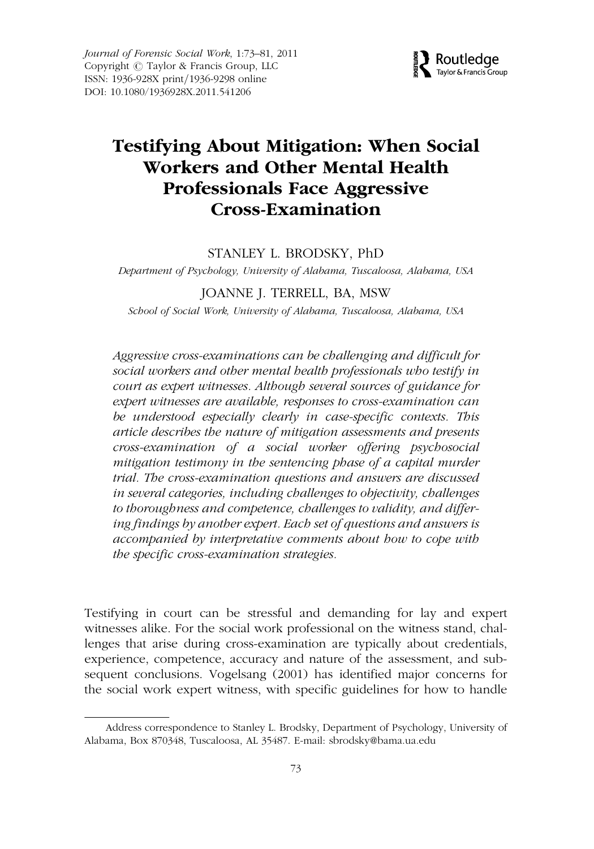

# Testifying About Mitigation: When Social Workers and Other Mental Health Professionals Face Aggressive Cross-Examination

## STANLEY L. BRODSKY, PhD

Department of Psychology, University of Alabama, Tuscaloosa, Alabama, USA

## JOANNE J. TERRELL, BA, MSW

School of Social Work, University of Alabama, Tuscaloosa, Alabama, USA

Aggressive cross-examinations can be challenging and difficult for social workers and other mental health professionals who testify in court as expert witnesses. Although several sources of guidance for expert witnesses are available, responses to cross-examination can be understood especially clearly in case-specific contexts. This article describes the nature of mitigation assessments and presents cross-examination of a social worker offering psychosocial mitigation testimony in the sentencing phase of a capital murder trial. The cross-examination questions and answers are discussed in several categories, including challenges to objectivity, challenges to thoroughness and competence, challenges to validity, and differing findings by another expert. Each set of questions and answers is accompanied by interpretative comments about how to cope with the specific cross-examination strategies.

Testifying in court can be stressful and demanding for lay and expert witnesses alike. For the social work professional on the witness stand, challenges that arise during cross-examination are typically about credentials, experience, competence, accuracy and nature of the assessment, and subsequent conclusions. Vogelsang (2001) has identified major concerns for the social work expert witness, with specific guidelines for how to handle

Address correspondence to Stanley L. Brodsky, Department of Psychology, University of Alabama, Box 870348, Tuscaloosa, AL 35487. E-mail: sbrodsky@bama.ua.edu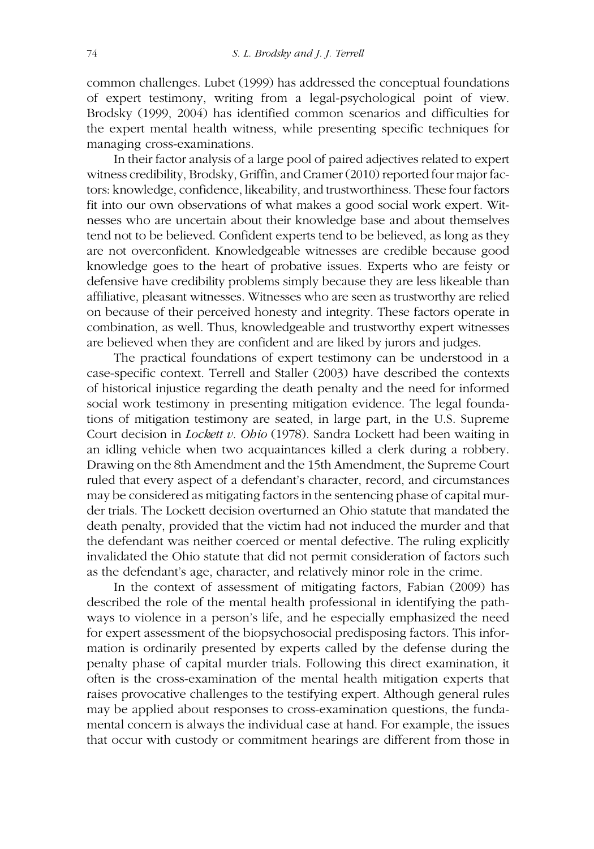common challenges. Lubet (1999) has addressed the conceptual foundations of expert testimony, writing from a legal-psychological point of view. Brodsky (1999, 2004) has identified common scenarios and difficulties for the expert mental health witness, while presenting specific techniques for managing cross-examinations.

In their factor analysis of a large pool of paired adjectives related to expert witness credibility, Brodsky, Griffin, and Cramer (2010) reported four major factors: knowledge, confidence, likeability, and trustworthiness. These four factors fit into our own observations of what makes a good social work expert. Witnesses who are uncertain about their knowledge base and about themselves tend not to be believed. Confident experts tend to be believed, as long as they are not overconfident. Knowledgeable witnesses are credible because good knowledge goes to the heart of probative issues. Experts who are feisty or defensive have credibility problems simply because they are less likeable than affiliative, pleasant witnesses. Witnesses who are seen as trustworthy are relied on because of their perceived honesty and integrity. These factors operate in combination, as well. Thus, knowledgeable and trustworthy expert witnesses are believed when they are confident and are liked by jurors and judges.

The practical foundations of expert testimony can be understood in a case-specific context. Terrell and Staller (2003) have described the contexts of historical injustice regarding the death penalty and the need for informed social work testimony in presenting mitigation evidence. The legal foundations of mitigation testimony are seated, in large part, in the U.S. Supreme Court decision in Lockett v. Ohio (1978). Sandra Lockett had been waiting in an idling vehicle when two acquaintances killed a clerk during a robbery. Drawing on the 8th Amendment and the 15th Amendment, the Supreme Court ruled that every aspect of a defendant's character, record, and circumstances may be considered as mitigating factors in the sentencing phase of capital murder trials. The Lockett decision overturned an Ohio statute that mandated the death penalty, provided that the victim had not induced the murder and that the defendant was neither coerced or mental defective. The ruling explicitly invalidated the Ohio statute that did not permit consideration of factors such as the defendant's age, character, and relatively minor role in the crime.

In the context of assessment of mitigating factors, Fabian (2009) has described the role of the mental health professional in identifying the pathways to violence in a person's life, and he especially emphasized the need for expert assessment of the biopsychosocial predisposing factors. This information is ordinarily presented by experts called by the defense during the penalty phase of capital murder trials. Following this direct examination, it often is the cross-examination of the mental health mitigation experts that raises provocative challenges to the testifying expert. Although general rules may be applied about responses to cross-examination questions, the fundamental concern is always the individual case at hand. For example, the issues that occur with custody or commitment hearings are different from those in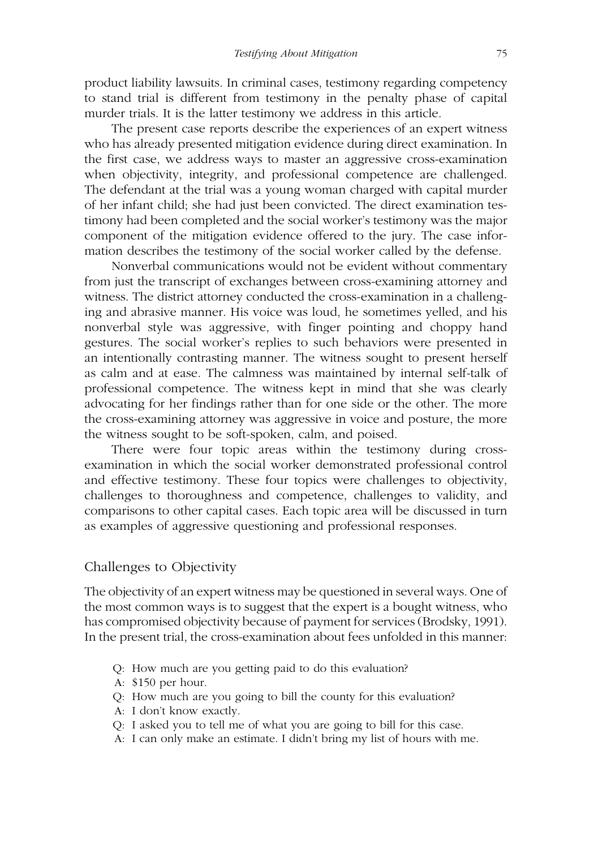product liability lawsuits. In criminal cases, testimony regarding competency to stand trial is different from testimony in the penalty phase of capital murder trials. It is the latter testimony we address in this article.

The present case reports describe the experiences of an expert witness who has already presented mitigation evidence during direct examination. In the first case, we address ways to master an aggressive cross-examination when objectivity, integrity, and professional competence are challenged. The defendant at the trial was a young woman charged with capital murder of her infant child; she had just been convicted. The direct examination testimony had been completed and the social worker's testimony was the major component of the mitigation evidence offered to the jury. The case information describes the testimony of the social worker called by the defense.

Nonverbal communications would not be evident without commentary from just the transcript of exchanges between cross-examining attorney and witness. The district attorney conducted the cross-examination in a challenging and abrasive manner. His voice was loud, he sometimes yelled, and his nonverbal style was aggressive, with finger pointing and choppy hand gestures. The social worker's replies to such behaviors were presented in an intentionally contrasting manner. The witness sought to present herself as calm and at ease. The calmness was maintained by internal self-talk of professional competence. The witness kept in mind that she was clearly advocating for her findings rather than for one side or the other. The more the cross-examining attorney was aggressive in voice and posture, the more the witness sought to be soft-spoken, calm, and poised.

There were four topic areas within the testimony during crossexamination in which the social worker demonstrated professional control and effective testimony. These four topics were challenges to objectivity, challenges to thoroughness and competence, challenges to validity, and comparisons to other capital cases. Each topic area will be discussed in turn as examples of aggressive questioning and professional responses.

### Challenges to Objectivity

The objectivity of an expert witness may be questioned in several ways. One of the most common ways is to suggest that the expert is a bought witness, who has compromised objectivity because of payment for services (Brodsky, 1991). In the present trial, the cross-examination about fees unfolded in this manner:

- Q: How much are you getting paid to do this evaluation?
- A: \$150 per hour.
- Q: How much are you going to bill the county for this evaluation?
- A: I don't know exactly.
- Q: I asked you to tell me of what you are going to bill for this case.
- A: I can only make an estimate. I didn't bring my list of hours with me.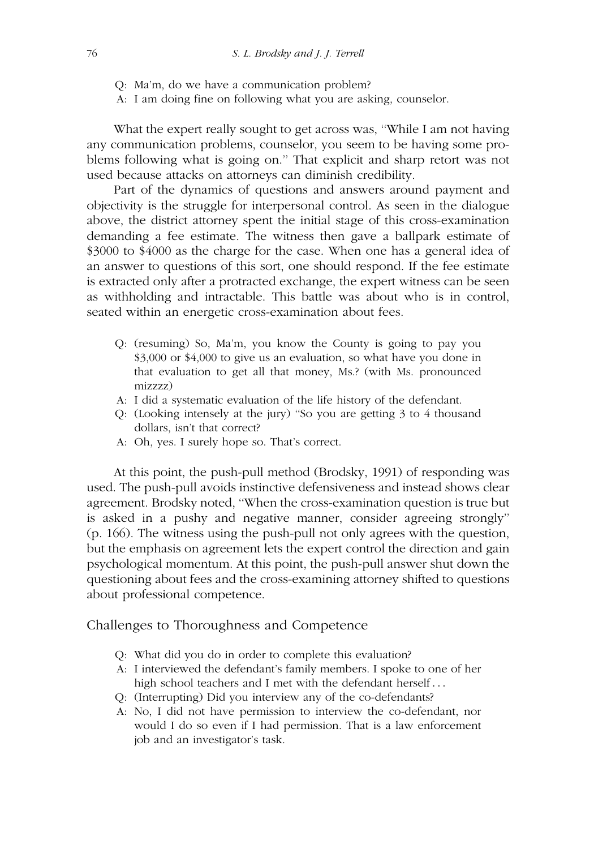- Q: Ma'm, do we have a communication problem?
- A: I am doing fine on following what you are asking, counselor.

What the expert really sought to get across was, ''While I am not having any communication problems, counselor, you seem to be having some problems following what is going on.'' That explicit and sharp retort was not used because attacks on attorneys can diminish credibility.

Part of the dynamics of questions and answers around payment and objectivity is the struggle for interpersonal control. As seen in the dialogue above, the district attorney spent the initial stage of this cross-examination demanding a fee estimate. The witness then gave a ballpark estimate of \$3000 to \$4000 as the charge for the case. When one has a general idea of an answer to questions of this sort, one should respond. If the fee estimate is extracted only after a protracted exchange, the expert witness can be seen as withholding and intractable. This battle was about who is in control, seated within an energetic cross-examination about fees.

- Q: (resuming) So, Ma'm, you know the County is going to pay you \$3,000 or \$4,000 to give us an evaluation, so what have you done in that evaluation to get all that money, Ms.? (with Ms. pronounced mizzzz)
- A: I did a systematic evaluation of the life history of the defendant.
- Q: (Looking intensely at the jury) ''So you are getting 3 to 4 thousand dollars, isn't that correct?
- A: Oh, yes. I surely hope so. That's correct.

At this point, the push-pull method (Brodsky, 1991) of responding was used. The push-pull avoids instinctive defensiveness and instead shows clear agreement. Brodsky noted, ''When the cross-examination question is true but is asked in a pushy and negative manner, consider agreeing strongly'' (p. 166). The witness using the push-pull not only agrees with the question, but the emphasis on agreement lets the expert control the direction and gain psychological momentum. At this point, the push-pull answer shut down the questioning about fees and the cross-examining attorney shifted to questions about professional competence.

### Challenges to Thoroughness and Competence

- Q: What did you do in order to complete this evaluation?
- A: I interviewed the defendant's family members. I spoke to one of her high school teachers and I met with the defendant herself ...
- Q: (Interrupting) Did you interview any of the co-defendants?
- A: No, I did not have permission to interview the co-defendant, nor would I do so even if I had permission. That is a law enforcement job and an investigator's task.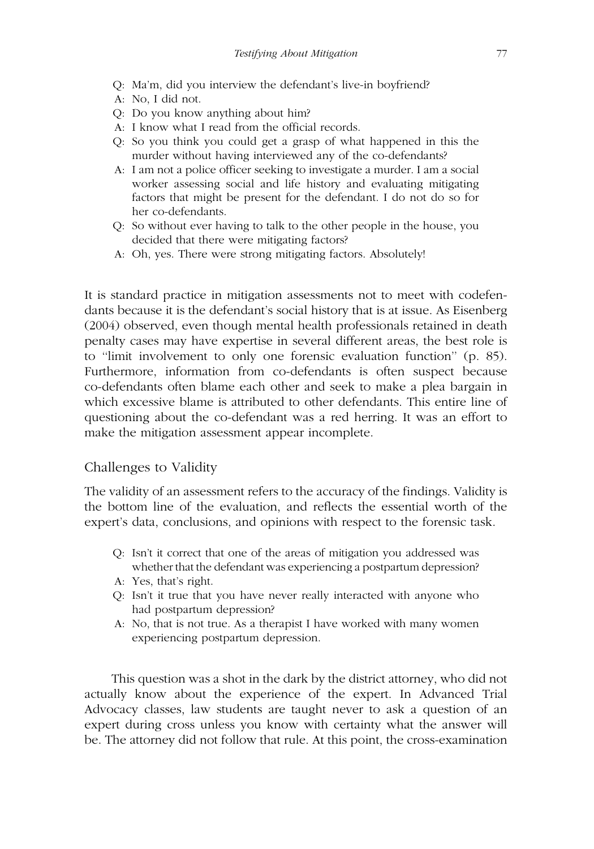- Q: Ma'm, did you interview the defendant's live-in boyfriend?
- A: No, I did not.
- Q: Do you know anything about him?
- A: I know what I read from the official records.
- Q: So you think you could get a grasp of what happened in this the murder without having interviewed any of the co-defendants?
- A: I am not a police officer seeking to investigate a murder. I am a social worker assessing social and life history and evaluating mitigating factors that might be present for the defendant. I do not do so for her co-defendants.
- Q: So without ever having to talk to the other people in the house, you decided that there were mitigating factors?
- A: Oh, yes. There were strong mitigating factors. Absolutely!

It is standard practice in mitigation assessments not to meet with codefendants because it is the defendant's social history that is at issue. As Eisenberg (2004) observed, even though mental health professionals retained in death penalty cases may have expertise in several different areas, the best role is to ''limit involvement to only one forensic evaluation function'' (p. 85). Furthermore, information from co-defendants is often suspect because co-defendants often blame each other and seek to make a plea bargain in which excessive blame is attributed to other defendants. This entire line of questioning about the co-defendant was a red herring. It was an effort to make the mitigation assessment appear incomplete.

# Challenges to Validity

The validity of an assessment refers to the accuracy of the findings. Validity is the bottom line of the evaluation, and reflects the essential worth of the expert's data, conclusions, and opinions with respect to the forensic task.

- Q: Isn't it correct that one of the areas of mitigation you addressed was whether that the defendant was experiencing a postpartum depression?
- A: Yes, that's right.
- Q: Isn't it true that you have never really interacted with anyone who had postpartum depression?
- A: No, that is not true. As a therapist I have worked with many women experiencing postpartum depression.

This question was a shot in the dark by the district attorney, who did not actually know about the experience of the expert. In Advanced Trial Advocacy classes, law students are taught never to ask a question of an expert during cross unless you know with certainty what the answer will be. The attorney did not follow that rule. At this point, the cross-examination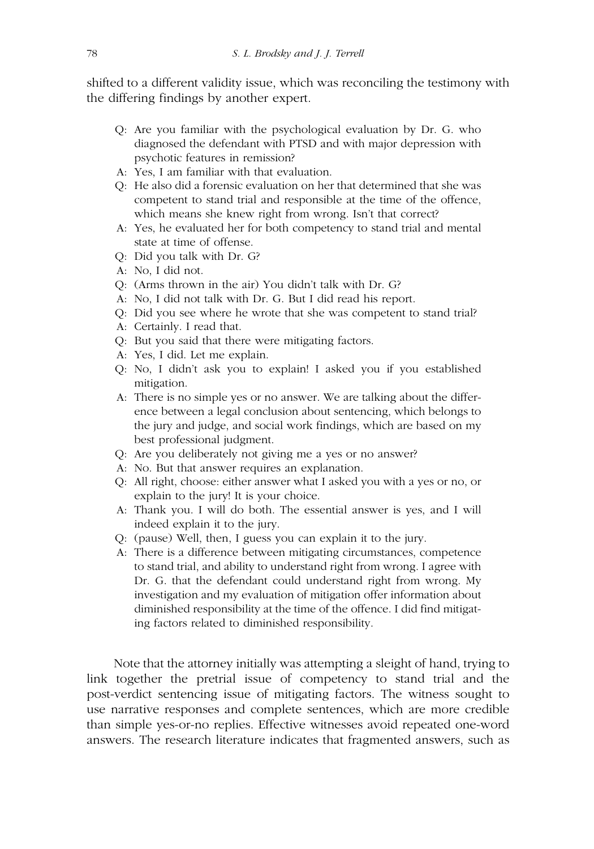shifted to a different validity issue, which was reconciling the testimony with the differing findings by another expert.

- Q: Are you familiar with the psychological evaluation by Dr. G. who diagnosed the defendant with PTSD and with major depression with psychotic features in remission?
- A: Yes, I am familiar with that evaluation.
- Q: He also did a forensic evaluation on her that determined that she was competent to stand trial and responsible at the time of the offence, which means she knew right from wrong. Isn't that correct?
- A: Yes, he evaluated her for both competency to stand trial and mental state at time of offense.
- Q: Did you talk with Dr. G?
- A: No, I did not.
- Q: (Arms thrown in the air) You didn't talk with Dr. G?
- A: No, I did not talk with Dr. G. But I did read his report.
- Q: Did you see where he wrote that she was competent to stand trial?
- A: Certainly. I read that.
- Q: But you said that there were mitigating factors.
- A: Yes, I did. Let me explain.
- Q: No, I didn't ask you to explain! I asked you if you established mitigation.
- A: There is no simple yes or no answer. We are talking about the difference between a legal conclusion about sentencing, which belongs to the jury and judge, and social work findings, which are based on my best professional judgment.
- Q: Are you deliberately not giving me a yes or no answer?
- A: No. But that answer requires an explanation.
- Q: All right, choose: either answer what I asked you with a yes or no, or explain to the jury! It is your choice.
- A: Thank you. I will do both. The essential answer is yes, and I will indeed explain it to the jury.
- Q: (pause) Well, then, I guess you can explain it to the jury.
- A: There is a difference between mitigating circumstances, competence to stand trial, and ability to understand right from wrong. I agree with Dr. G. that the defendant could understand right from wrong. My investigation and my evaluation of mitigation offer information about diminished responsibility at the time of the offence. I did find mitigating factors related to diminished responsibility.

Note that the attorney initially was attempting a sleight of hand, trying to link together the pretrial issue of competency to stand trial and the post-verdict sentencing issue of mitigating factors. The witness sought to use narrative responses and complete sentences, which are more credible than simple yes-or-no replies. Effective witnesses avoid repeated one-word answers. The research literature indicates that fragmented answers, such as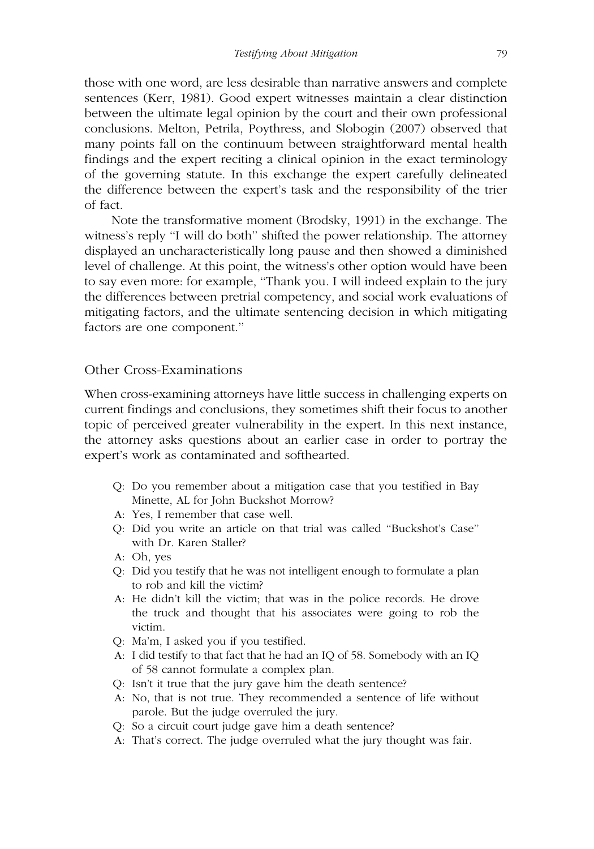those with one word, are less desirable than narrative answers and complete sentences (Kerr, 1981). Good expert witnesses maintain a clear distinction between the ultimate legal opinion by the court and their own professional conclusions. Melton, Petrila, Poythress, and Slobogin (2007) observed that many points fall on the continuum between straightforward mental health findings and the expert reciting a clinical opinion in the exact terminology of the governing statute. In this exchange the expert carefully delineated the difference between the expert's task and the responsibility of the trier of fact.

Note the transformative moment (Brodsky, 1991) in the exchange. The witness's reply ''I will do both'' shifted the power relationship. The attorney displayed an uncharacteristically long pause and then showed a diminished level of challenge. At this point, the witness's other option would have been to say even more: for example, ''Thank you. I will indeed explain to the jury the differences between pretrial competency, and social work evaluations of mitigating factors, and the ultimate sentencing decision in which mitigating factors are one component.''

#### Other Cross-Examinations

When cross-examining attorneys have little success in challenging experts on current findings and conclusions, they sometimes shift their focus to another topic of perceived greater vulnerability in the expert. In this next instance, the attorney asks questions about an earlier case in order to portray the expert's work as contaminated and softhearted.

- Q: Do you remember about a mitigation case that you testified in Bay Minette, AL for John Buckshot Morrow?
- A: Yes, I remember that case well.
- Q: Did you write an article on that trial was called ''Buckshot's Case'' with Dr. Karen Staller?
- A: Oh, yes
- Q: Did you testify that he was not intelligent enough to formulate a plan to rob and kill the victim?
- A: He didn't kill the victim; that was in the police records. He drove the truck and thought that his associates were going to rob the victim.
- Q: Ma'm, I asked you if you testified.
- A: I did testify to that fact that he had an IQ of 58. Somebody with an IQ of 58 cannot formulate a complex plan.
- Q: Isn't it true that the jury gave him the death sentence?
- A: No, that is not true. They recommended a sentence of life without parole. But the judge overruled the jury.
- Q: So a circuit court judge gave him a death sentence?
- A: That's correct. The judge overruled what the jury thought was fair.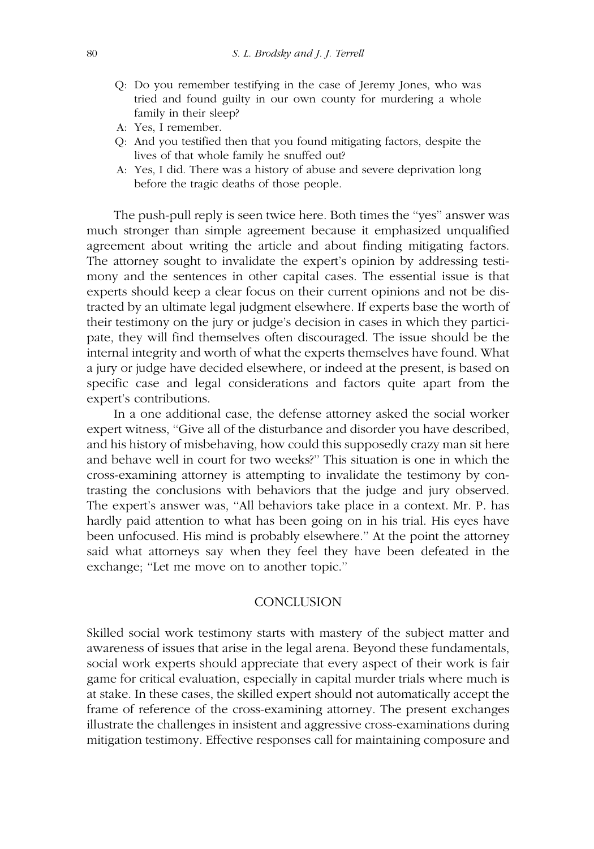- Q: Do you remember testifying in the case of Jeremy Jones, who was tried and found guilty in our own county for murdering a whole family in their sleep?
- A: Yes, I remember.
- Q: And you testified then that you found mitigating factors, despite the lives of that whole family he snuffed out?
- A: Yes, I did. There was a history of abuse and severe deprivation long before the tragic deaths of those people.

The push-pull reply is seen twice here. Both times the ''yes'' answer was much stronger than simple agreement because it emphasized unqualified agreement about writing the article and about finding mitigating factors. The attorney sought to invalidate the expert's opinion by addressing testimony and the sentences in other capital cases. The essential issue is that experts should keep a clear focus on their current opinions and not be distracted by an ultimate legal judgment elsewhere. If experts base the worth of their testimony on the jury or judge's decision in cases in which they participate, they will find themselves often discouraged. The issue should be the internal integrity and worth of what the experts themselves have found. What a jury or judge have decided elsewhere, or indeed at the present, is based on specific case and legal considerations and factors quite apart from the expert's contributions.

In a one additional case, the defense attorney asked the social worker expert witness, ''Give all of the disturbance and disorder you have described, and his history of misbehaving, how could this supposedly crazy man sit here and behave well in court for two weeks?'' This situation is one in which the cross-examining attorney is attempting to invalidate the testimony by contrasting the conclusions with behaviors that the judge and jury observed. The expert's answer was, ''All behaviors take place in a context. Mr. P. has hardly paid attention to what has been going on in his trial. His eyes have been unfocused. His mind is probably elsewhere.'' At the point the attorney said what attorneys say when they feel they have been defeated in the exchange; ''Let me move on to another topic.''

#### **CONCLUSION**

Skilled social work testimony starts with mastery of the subject matter and awareness of issues that arise in the legal arena. Beyond these fundamentals, social work experts should appreciate that every aspect of their work is fair game for critical evaluation, especially in capital murder trials where much is at stake. In these cases, the skilled expert should not automatically accept the frame of reference of the cross-examining attorney. The present exchanges illustrate the challenges in insistent and aggressive cross-examinations during mitigation testimony. Effective responses call for maintaining composure and